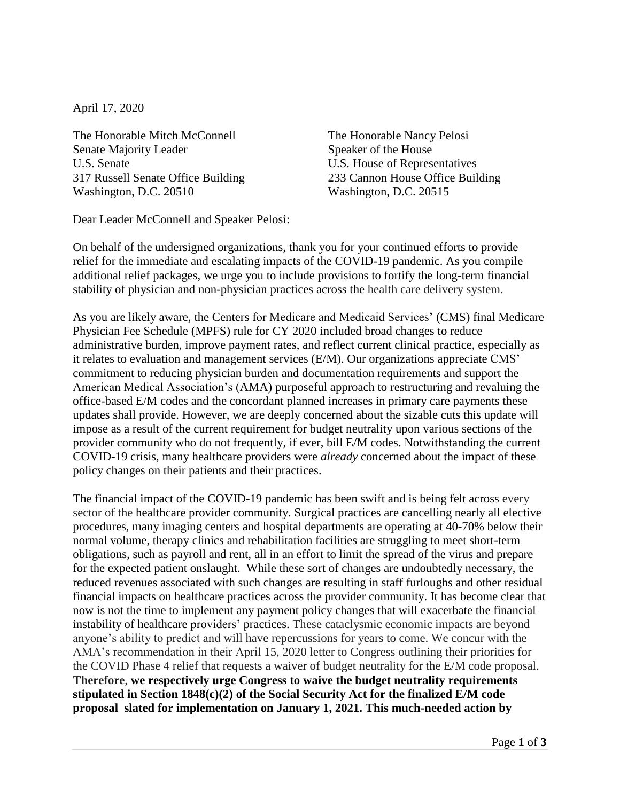April 17, 2020

The Honorable Mitch McConnell The Honorable Nancy Pelosi Senate Majority Leader Speaker of the House U.S. Senate U.S. House of Representatives 317 Russell Senate Office Building 233 Cannon House Office Building Washington, D.C. 20510 Washington, D.C. 20515

Dear Leader McConnell and Speaker Pelosi:

On behalf of the undersigned organizations, thank you for your continued efforts to provide relief for the immediate and escalating impacts of the COVID-19 pandemic. As you compile additional relief packages, we urge you to include provisions to fortify the long-term financial stability of physician and non-physician practices across the health care delivery system.

As you are likely aware, the Centers for Medicare and Medicaid Services' (CMS) final Medicare Physician Fee Schedule (MPFS) rule for CY 2020 included broad changes to reduce administrative burden, improve payment rates, and reflect current clinical practice, especially as it relates to evaluation and management services (E/M). Our organizations appreciate CMS' commitment to reducing physician burden and documentation requirements and support the American Medical Association's (AMA) purposeful approach to restructuring and revaluing the office-based E/M codes and the concordant planned increases in primary care payments these updates shall provide. However, we are deeply concerned about the sizable cuts this update will impose as a result of the current requirement for budget neutrality upon various sections of the provider community who do not frequently, if ever, bill E/M codes. Notwithstanding the current COVID-19 crisis, many healthcare providers were *already* concerned about the impact of these policy changes on their patients and their practices.

The financial impact of the COVID-19 pandemic has been swift and is being felt across every sector of the healthcare provider community. Surgical practices are cancelling nearly all elective procedures, many imaging centers and hospital departments are operating at 40-70% below their normal volume, therapy clinics and rehabilitation facilities are struggling to meet short-term obligations, such as payroll and rent, all in an effort to limit the spread of the virus and prepare for the expected patient onslaught. While these sort of changes are undoubtedly necessary, the reduced revenues associated with such changes are resulting in staff furloughs and other residual financial impacts on healthcare practices across the provider community. It has become clear that now is not the time to implement any payment policy changes that will exacerbate the financial instability of healthcare providers' practices. These cataclysmic economic impacts are beyond anyone's ability to predict and will have repercussions for years to come. We concur with the AMA's recommendation in their April 15, 2020 letter to Congress outlining their priorities for the COVID Phase 4 relief that requests a waiver of budget neutrality for the E/M code proposal. **Therefore**, **we respectively urge Congress to waive the budget neutrality requirements stipulated in Section 1848(c)(2) of the Social Security Act for the finalized E/M code proposal slated for implementation on January 1, 2021. This much-needed action by**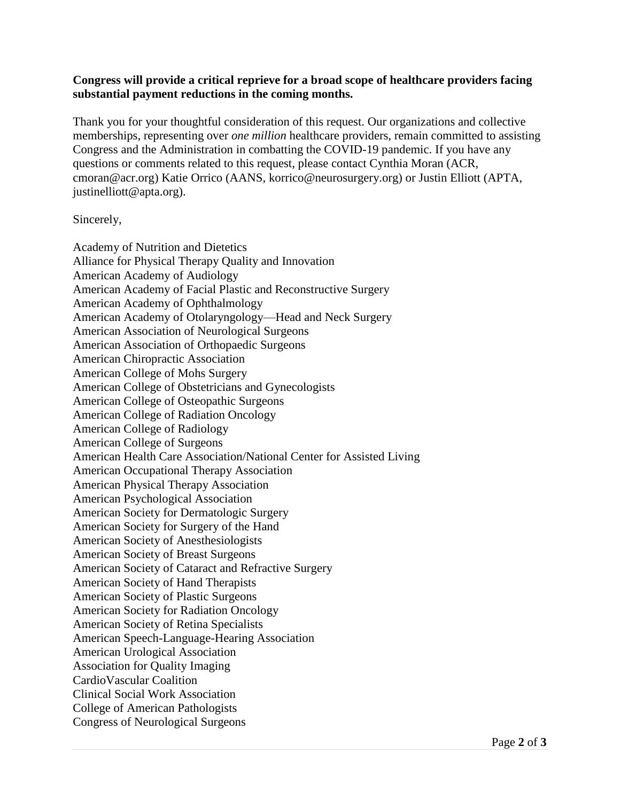## **Congress will provide a critical reprieve for a broad scope of healthcare providers facing substantial payment reductions in the coming months.**

Thank you for your thoughtful consideration of this request. Our organizations and collective memberships, representing over *one million* healthcare providers, remain committed to assisting Congress and the Administration in combatting the COVID-19 pandemic. If you have any questions or comments related to this request, please contact Cynthia Moran (ACR, cmoran@acr.org) Katie Orrico (AANS, korrico@neurosurgery.org) or Justin Elliott (APTA, justinelliott@apta.org).

## Sincerely,

Academy of Nutrition and Dietetics Alliance for Physical Therapy Quality and Innovation American Academy of Audiology American Academy of Facial Plastic and Reconstructive Surgery American Academy of Ophthalmology American Academy of Otolaryngology—Head and Neck Surgery American Association of Neurological Surgeons American Association of Orthopaedic Surgeons American Chiropractic Association American College of Mohs Surgery American College of Obstetricians and Gynecologists American College of Osteopathic Surgeons American College of Radiation Oncology American College of Radiology American College of Surgeons American Health Care Association/National Center for Assisted Living American Occupational Therapy Association American Physical Therapy Association American Psychological Association American Society for Dermatologic Surgery American Society for Surgery of the Hand American Society of Anesthesiologists American Society of Breast Surgeons American Society of Cataract and Refractive Surgery American Society of Hand Therapists American Society of Plastic Surgeons American Society for Radiation Oncology American Society of Retina Specialists American Speech-Language-Hearing Association American Urological Association Association for Quality Imaging CardioVascular Coalition Clinical Social Work Association College of American Pathologists Congress of Neurological Surgeons